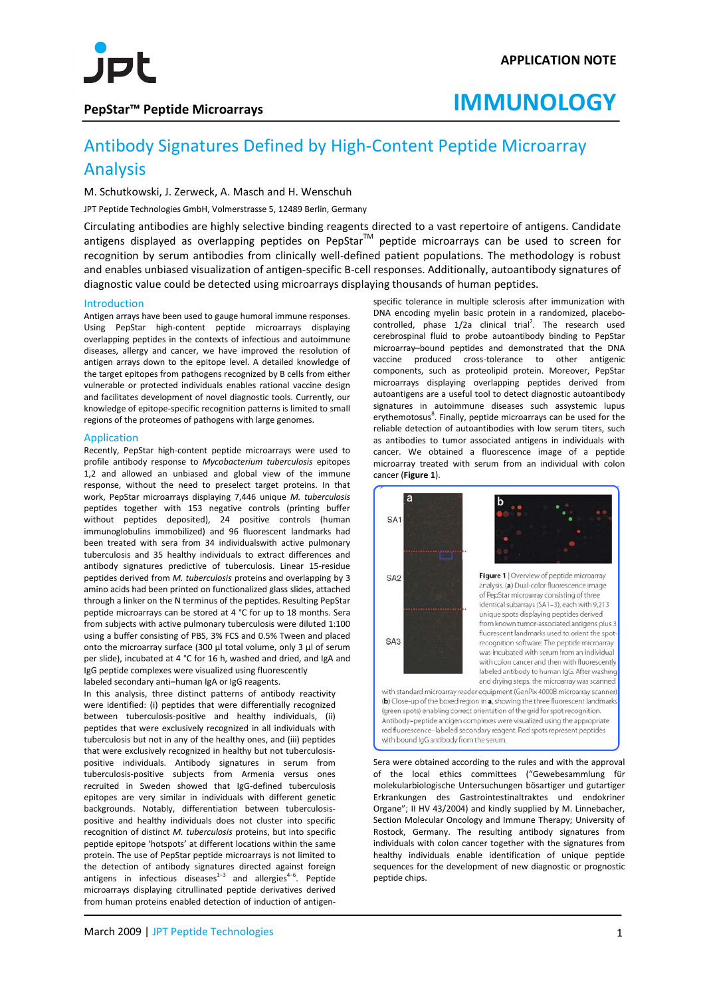

### **PepStar™ Peptide Microarrays**

## **IMMUNOLOGY**

### Antibody Signatures Defined by High-Content Peptide Microarray Analysis

M. Schutkowski, J. Zerweck, A. Masch and H. Wenschuh

JPT Peptide Technologies GmbH, Volmerstrasse 5, 12489 Berlin, Germany

Circulating antibodies are highly selective binding reagents directed to a vast repertoire of antigens. Candidate antigens displayed as overlapping peptides on PepStar<sup>TM</sup> peptide microarrays can be used to screen for recognition by serum antibodies from clinically well-defined patient populations. The methodology is robust and enables unbiased visualization of antigen-specific B-cell responses. Additionally, autoantibody signatures of diagnostic value could be detected using microarrays displaying thousands of human peptides.

### Introduction

Antigen arrays have been used to gauge humoral immune responses. Using PepStar high-content peptide microarrays displaying overlapping peptides in the contexts of infectious and autoimmune diseases, allergy and cancer, we have improved the resolution of antigen arrays down to the epitope level. A detailed knowledge of the target epitopes from pathogens recognized by B cells from either vulnerable or protected individuals enables rational vaccine design and facilitates development of novel diagnostic tools. Currently, our knowledge of epitope-specific recognition patterns is limited to small regions of the proteomes of pathogens with large genomes.

### Application

Recently, PepStar high-content peptide microarrays were used to profile antibody response to *Mycobacterium tuberculosis* epitopes 1,2 and allowed an unbiased and global view of the immune response, without the need to preselect target proteins. In that work, PepStar microarrays displaying 7,446 unique *M. tuberculosis*  peptides together with 153 negative controls (printing buffer without peptides deposited), 24 positive controls (human immunoglobulins immobilized) and 96 fluorescent landmarks had been treated with sera from 34 individualswith active pulmonary tuberculosis and 35 healthy individuals to extract differences and antibody signatures predictive of tuberculosis. Linear 15-residue peptides derived from *M. tuberculosis* proteins and overlapping by 3 amino acids had been printed on functionalized glass slides, attached through a linker on the N terminus of the peptides. Resulting PepStar peptide microarrays can be stored at 4 °C for up to 18 months. Sera from subjects with active pulmonary tuberculosis were diluted 1:100 using a buffer consisting of PBS, 3% FCS and 0.5% Tween and placed onto the microarray surface (300 μl total volume, only 3 μl of serum per slide), incubated at 4 °C for 16 h, washed and dried, and IgA and IgG peptide complexes were visualized using fluorescently labeled secondary anti–human IgA or IgG reagents.

In this analysis, three distinct patterns of antibody reactivity were identified: (i) peptides that were differentially recognized between tuberculosis-positive and healthy individuals, (ii) peptides that were exclusively recognized in all individuals with tuberculosis but not in any of the healthy ones, and (iii) peptides that were exclusively recognized in healthy but not tuberculosispositive individuals. Antibody signatures in serum from tuberculosis-positive subjects from Armenia versus ones recruited in Sweden showed that IgG-defined tuberculosis epitopes are very similar in individuals with different genetic backgrounds. Notably, differentiation between tuberculosispositive and healthy individuals does not cluster into specific recognition of distinct *M. tuberculosis* proteins, but into specific peptide epitope 'hotspots' at different locations within the same protein. The use of PepStar peptide microarrays is not limited to the detection of antibody signatures directed against foreign antigens in infectious diseases $1-3$  and allergies $4-6$ . Peptide microarrays displaying citrullinated peptide derivatives derived from human proteins enabled detection of induction of antigen-

specific tolerance in multiple sclerosis after immunization with DNA encoding myelin basic protein in a randomized, placebocontrolled, phase  $1/2a$  clinical trial<sup>7</sup>. The research used cerebrospinal fluid to probe autoantibody binding to PepStar microarray–bound peptides and demonstrated that the DNA vaccine produced cross-tolerance to other antigenic components, such as proteolipid protein. Moreover, PepStar microarrays displaying overlapping peptides derived from autoantigens are a useful tool to detect diagnostic autoantibody signatures in autoimmune diseases such assystemic lupus erythemotosus<sup>8</sup>. Finally, peptide microarrays can be used for the reliable detection of autoantibodies with low serum titers, such as antibodies to tumor associated antigens in individuals with cancer. We obtained a fluorescence image of a peptide microarray treated with serum from an individual with colon cancer (**Figure 1**).



Sera were obtained according to the rules and with the approval of the local ethics committees ("Gewebesammlung für molekularbiologische Untersuchungen bösartiger und gutartiger Erkrankungen des Gastrointestinaltraktes und endokriner Organe"; II HV 43/2004) and kindly supplied by M. Linnebacher, Section Molecular Oncology and Immune Therapy; University of Rostock, Germany. The resulting antibody signatures from individuals with colon cancer together with the signatures from healthy individuals enable identification of unique peptide sequences for the development of new diagnostic or prognostic peptide chips.